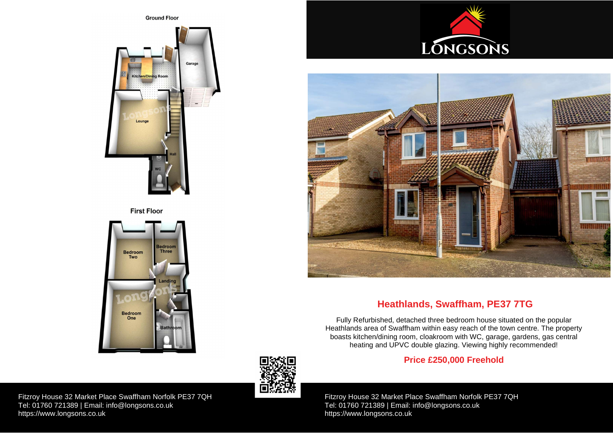Fitzroy House 32 Market Place Swaffham Norfolk PE37 7QH Tel: 01760 721389 | Email: [info@longsons.co.uk](mailto:info@longsons.co.uk) <https://www.longsons.co.uk>

Fitzroy House 32 Market Place Swaffham Norfolk PE37 7QH Tel: 01760 721389 | Email: [info@longsons.co.uk](mailto:info@longsons.co.uk) <https://www.longsons.co.uk>







# **Heathlands, Swaffham, PE37 7TG**

Fully Refurbished, detached three bedroom house situated on the popular Heathlands area of Swaffham within easy reach of the town centre. The property boasts kitchen/dining room, cloakroom with WC, garage, gardens, gas central heating and UPVC double glazing. Viewing highly recommended!

## **Price £250,000 Freehold**





**First Floor**